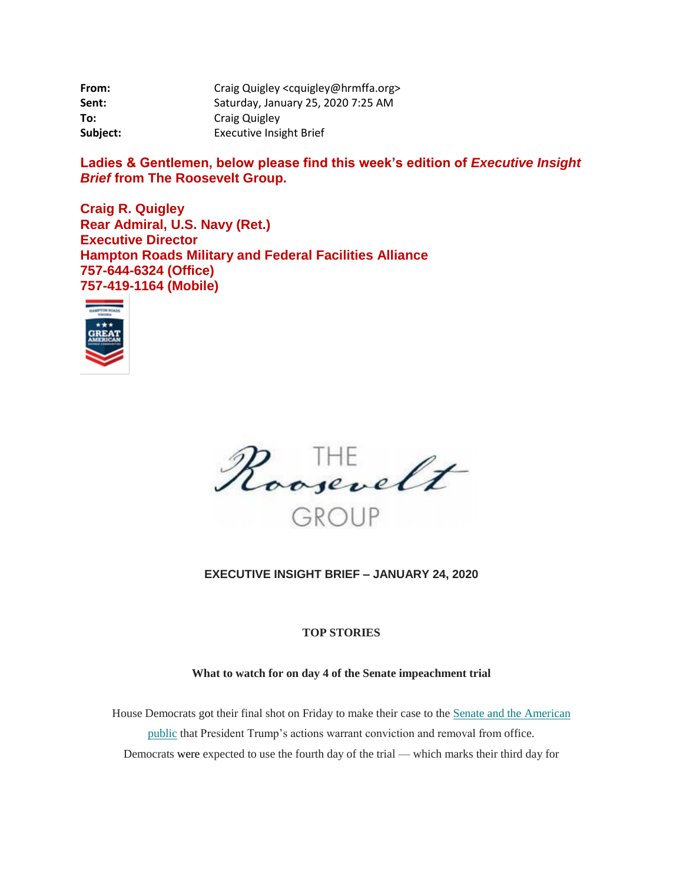| From:    | Craig Quigley <cquigley@hrmffa.org></cquigley@hrmffa.org> |
|----------|-----------------------------------------------------------|
| Sent:    | Saturday, January 25, 2020 7:25 AM                        |
| To:      | <b>Craig Quigley</b>                                      |
| Subject: | <b>Executive Insight Brief</b>                            |

Ladies & Gentlemen, below please find this week's edition of *Executive Insight Brief* **from The Roosevelt Group.**

**Craig R. Quigley Rear Admiral, U.S. Navy (Ret.) Executive Director Hampton Roads Military and Federal Facilities Alliance 757-644-6324 (Office) 757-419-1164 (Mobile)**





## **EXECUTIVE INSIGHT BRIEF – JANUARY 24, 2020**

## **TOP STORIES**

### **What to watch for on day 4 of the Senate impeachment trial**

House Democrats got their final shot on Friday to make their case to the [Senate and the American](https://linkprotect.cudasvc.com/url?a=https%3a%2f%2frooseveltdc.us12.list-manage.com%2ftrack%2fclick%3fu%3d322456b7b4ad08c1b4904c407%26id%3dcad0f9face%26e%3d5c6d0a3b33&c=E,1,WvH_5pZFBBLiMlg9rU1e6rc7FQNurzmSPftFHpsnw4mus9JeslA5kc8z97KZc_KSTpa_u2V0dpi30vppxXdNygtPI1C_N29aDyNAB-6h9HYZlsoEk7dKcA,,&typo=1)  [public](https://linkprotect.cudasvc.com/url?a=https%3a%2f%2frooseveltdc.us12.list-manage.com%2ftrack%2fclick%3fu%3d322456b7b4ad08c1b4904c407%26id%3dcad0f9face%26e%3d5c6d0a3b33&c=E,1,WvH_5pZFBBLiMlg9rU1e6rc7FQNurzmSPftFHpsnw4mus9JeslA5kc8z97KZc_KSTpa_u2V0dpi30vppxXdNygtPI1C_N29aDyNAB-6h9HYZlsoEk7dKcA,,&typo=1) that President Trump's actions warrant conviction and removal from office. Democrats were expected to use the fourth day of the trial — which marks their third day for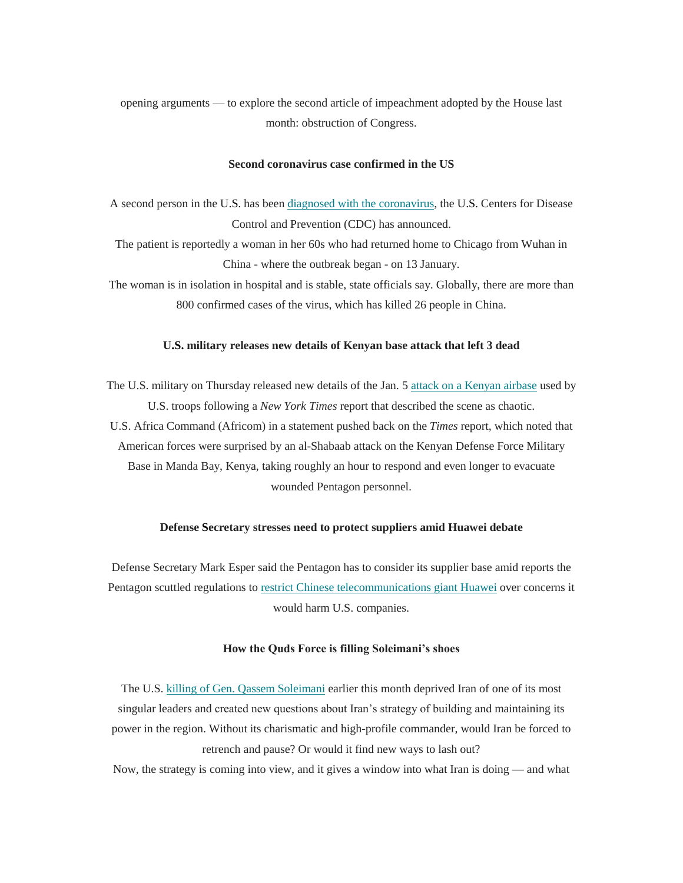opening arguments — to explore the second article of impeachment adopted by the House last month: obstruction of Congress.

#### **Second coronavirus case confirmed in the US**

A second person in the U.S. has been [diagnosed with the coronavirus,](https://linkprotect.cudasvc.com/url?a=https%3a%2f%2frooseveltdc.us12.list-manage.com%2ftrack%2fclick%3fu%3d322456b7b4ad08c1b4904c407%26id%3db9a4743090%26e%3d5c6d0a3b33&c=E,1,pvKVFIEerrbDe_0gsoW9iVMYQjXn4AC-MJAIUVwjnIqLpWz13PUPIUorUGfkTOdjJanZy-unoyhUdV8cknmoSu0rZrjLwnojEVPWNzN26j6kLzya&typo=1) the U.S. Centers for Disease Control and Prevention (CDC) has announced.

The patient is reportedly a woman in her 60s who had returned home to Chicago from Wuhan in China - where the outbreak began - on 13 January.

The woman is in isolation in hospital and is stable, state officials say. Globally, there are more than 800 confirmed cases of the virus, which has killed 26 people in China.

#### **U.S. military releases new details of Kenyan base attack that left 3 dead**

The U.S. military on Thursday released new details of the Jan. 5 attack on a [Kenyan airbase](https://linkprotect.cudasvc.com/url?a=https%3a%2f%2frooseveltdc.us12.list-manage.com%2ftrack%2fclick%3fu%3d322456b7b4ad08c1b4904c407%26id%3d28718b45d4%26e%3d5c6d0a3b33&c=E,1,8beSXGjsDNt_jKv5SbDvuRLRNLK08OJOBZ0X314UT0qCjxXZDESW4eQa-NuqTNCC_LI1fc4YVs5rwVltOr1kFXjTGWeDiHxFCgEGiLsYsZ9V&typo=1) used by U.S. troops following a *New York Times* report that described the scene as chaotic. U.S. Africa Command (Africom) in a statement pushed back on the *Times* report, which noted that American forces were surprised by an al-Shabaab attack on the Kenyan Defense Force Military Base in Manda Bay, Kenya, taking roughly an hour to respond and even longer to evacuate wounded Pentagon personnel.

### **Defense Secretary stresses need to protect suppliers amid Huawei debate**

Defense Secretary Mark Esper said the Pentagon has to consider its supplier base amid reports the Pentagon scuttled regulations to [restrict Chinese telecommunications giant](https://linkprotect.cudasvc.com/url?a=https%3a%2f%2frooseveltdc.us12.list-manage.com%2ftrack%2fclick%3fu%3d322456b7b4ad08c1b4904c407%26id%3dc1859dbf1b%26e%3d5c6d0a3b33&c=E,1,_zGgOt9y03w_WZWufNFSft8zDrN9Sng28Nayp23qRKriMSn_u42oOGAsCnBmfwEFxmxK15kI4aJIVZ5NcsT1k8iFfKNxwYQJiwwKAR0_iJAzhqF6dxlGUrA,&typo=1) Huawei over concerns it would harm U.S. companies.

#### **How the Quds Force is filling Soleimani's shoes**

The U.S. [killing of Gen. Qassem Soleimani](https://linkprotect.cudasvc.com/url?a=https%3a%2f%2frooseveltdc.us12.list-manage.com%2ftrack%2fclick%3fu%3d322456b7b4ad08c1b4904c407%26id%3d26e1bcce09%26e%3d5c6d0a3b33&c=E,1,uAsnvIVUs5LQfX1OlAtlqXMmbHvxf2ExM7S9O7IBVUYG2IJdxeHyoZIE8wwNsQvEdwCqfq-UhlkA1tLXY8Q8soXRa7Z9_XWeKppGCXEeuDm6iwb_&typo=1) earlier this month deprived Iran of one of its most singular leaders and created new questions about Iran's strategy of building and maintaining its power in the region. Without its charismatic and high-profile commander, would Iran be forced to retrench and pause? Or would it find new ways to lash out?

Now, the strategy is coming into view, and it gives a window into what Iran is doing — and what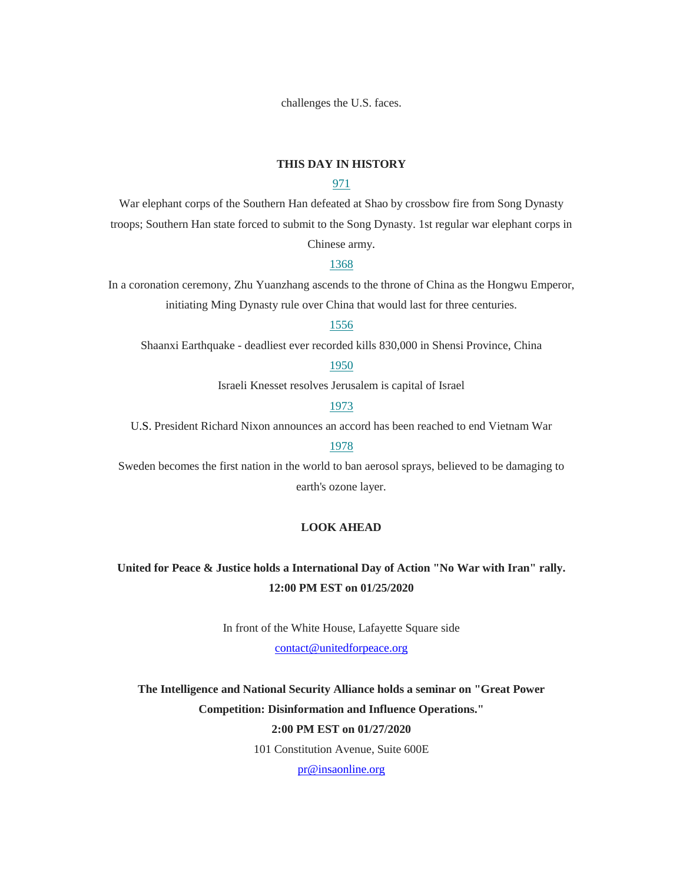challenges the U.S. faces.

### **THIS DAY IN HISTORY**

## [971](https://linkprotect.cudasvc.com/url?a=https%3a%2f%2frooseveltdc.us12.list-manage.com%2ftrack%2fclick%3fu%3d322456b7b4ad08c1b4904c407%26id%3dd2f9423da7%26e%3d5c6d0a3b33&c=E,1,3blNVIIEbWMng6BWtIP3yo47Ej2XVU60wL6KrD47CuGdad2Rc6BfUvRVVm37B6hlWHoxIpXOxVijtDk8S1j9_IFf6Ee151-AjNqhulAjlw,,&typo=1)

War elephant corps of the Southern Han defeated at Shao by crossbow fire from Song Dynasty troops; Southern Han state forced to submit to the Song Dynasty. 1st regular war elephant corps in Chinese army.

#### [1368](https://linkprotect.cudasvc.com/url?a=https%3a%2f%2frooseveltdc.us12.list-manage.com%2ftrack%2fclick%3fu%3d322456b7b4ad08c1b4904c407%26id%3d60b4ebc90e%26e%3d5c6d0a3b33&c=E,1,iFMNF9t8zkEZzQfnoBZJN7FwowaZ1yvfcwfXEogdTEROTTa_xZAu6ii_W3NUKUazx6G8zHpTZMjmtaFwGnrHoNMC34Ir_eSdhX0CcEWd&typo=1)

In a coronation ceremony, Zhu Yuanzhang ascends to the throne of China as the Hongwu Emperor, initiating Ming Dynasty rule over China that would last for three centuries.

#### [1556](https://linkprotect.cudasvc.com/url?a=https%3a%2f%2frooseveltdc.us12.list-manage.com%2ftrack%2fclick%3fu%3d322456b7b4ad08c1b4904c407%26id%3d27d5164385%26e%3d5c6d0a3b33&c=E,1,VcT7fFWnCZ4d86jwM6FzLZih5gSxft42UVsS4e9qSteF7rGUkmjRahjOlzOHLkG-6zeE12UY1PBN1_i_04MkyklO9mzwm7NQA_PeonaE4ho,&typo=1)

Shaanxi Earthquake - deadliest ever recorded kills 830,000 in Shensi Province, China

### [1950](https://linkprotect.cudasvc.com/url?a=https%3a%2f%2frooseveltdc.us12.list-manage.com%2ftrack%2fclick%3fu%3d322456b7b4ad08c1b4904c407%26id%3d904b47e13e%26e%3d5c6d0a3b33&c=E,1,yQ6rUkO5mQgVNHBuozWs7dILe_gZoghNThZMFNeWJ1PU276d1XMaPtQGioU48mQaiM8ufmis15fgaIOOYY3cKOEttvcUqQkeNTNDzolWwkbnDw,,&typo=1)

Israeli Knesset resolves Jerusalem is capital of Israel

## [1973](https://linkprotect.cudasvc.com/url?a=https%3a%2f%2frooseveltdc.us12.list-manage.com%2ftrack%2fclick%3fu%3d322456b7b4ad08c1b4904c407%26id%3d8eb735b306%26e%3d5c6d0a3b33&c=E,1,jNGkZXeV7Z6zZHGSFy7nYQMUlXgp6bGT3eXAwCrYH5V1a8wgmiAq8nYhDRwnt-1jWWBuhqV7z7R07uJDgqySAR7Li1Ck0pK_EBvGXjXwfOT_QB5hd2g,&typo=1)

U.S. President Richard Nixon announces an accord has been reached to end Vietnam War

## [1978](https://linkprotect.cudasvc.com/url?a=https%3a%2f%2frooseveltdc.us12.list-manage.com%2ftrack%2fclick%3fu%3d322456b7b4ad08c1b4904c407%26id%3d1c1193771f%26e%3d5c6d0a3b33&c=E,1,U3Px6MLjy6SqhIatZFwSfTUkAAWknvGMHpU9tu2dn30v9TQKBtALeBkS3-OeUKfvFCj6LrerofHWQxI1MkIp5FhULpHg8xdDYM1wRQzsSMNDJbe_WA,,&typo=1)

Sweden becomes the first nation in the world to ban aerosol sprays, believed to be damaging to earth's ozone layer.

## **LOOK AHEAD**

# **United for Peace & Justice holds a International Day of Action "No War with Iran" rally. 12:00 PM EST on 01/25/2020**

In front of the White House, Lafayette Square side

[contact@unitedforpeace.org](mailto:contact@unitedforpeace.org)

**The Intelligence and National Security Alliance holds a seminar on "Great Power Competition: Disinformation and Influence Operations."**

# **2:00 PM EST on 01/27/2020**

101 Constitution Avenue, Suite 600E

[pr@insaonline.org](mailto:pr@insaonline.org)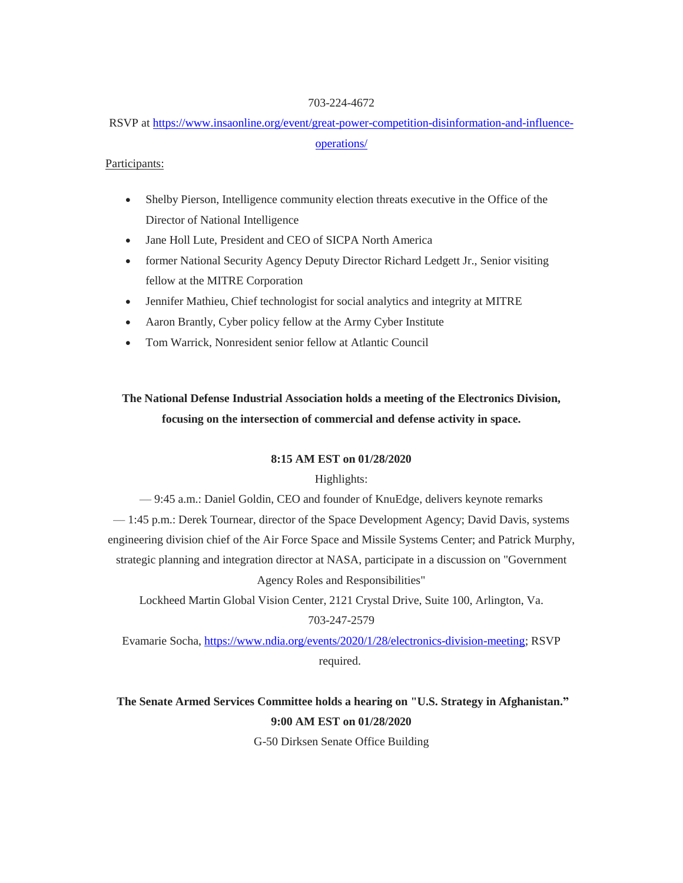### 703-224-4672

RSVP at [https://www.insaonline.org/event/great-power-competition-disinformation-and-influence](https://linkprotect.cudasvc.com/url?a=https%3a%2f%2fwww.insaonline.org%2fevent%2fgreat-power-competition-disinformation-and-influence-operations%2f&c=E,1,AsCs174PPAsLYe8Oajy4sZK6RHdyL7sj6iSjsNB0zE4Y1KdJ87Me4yCn3zwKzFBstVibaul2zFM0kJDqzJeo14idYuxsp6ODxJTByZFJdus,&typo=1)[operations/](https://linkprotect.cudasvc.com/url?a=https%3a%2f%2fwww.insaonline.org%2fevent%2fgreat-power-competition-disinformation-and-influence-operations%2f&c=E,1,AsCs174PPAsLYe8Oajy4sZK6RHdyL7sj6iSjsNB0zE4Y1KdJ87Me4yCn3zwKzFBstVibaul2zFM0kJDqzJeo14idYuxsp6ODxJTByZFJdus,&typo=1)

## Participants:

- Shelby Pierson, Intelligence community election threats executive in the Office of the Director of National Intelligence
- Jane Holl Lute, President and CEO of SICPA North America
- former National Security Agency Deputy Director Richard Ledgett Jr., Senior visiting fellow at the MITRE Corporation
- Jennifer Mathieu, Chief technologist for social analytics and integrity at MITRE
- Aaron Brantly, Cyber policy fellow at the Army Cyber Institute
- Tom Warrick, Nonresident senior fellow at Atlantic Council

# **The National Defense Industrial Association holds a meeting of the Electronics Division, focusing on the intersection of commercial and defense activity in space.**

## **8:15 AM EST on 01/28/2020**

## Highlights:

— 9:45 a.m.: Daniel Goldin, CEO and founder of KnuEdge, delivers keynote remarks

— 1:45 p.m.: Derek Tournear, director of the Space Development Agency; David Davis, systems

engineering division chief of the Air Force Space and Missile Systems Center; and Patrick Murphy,

strategic planning and integration director at NASA, participate in a discussion on "Government Agency Roles and Responsibilities"

Lockheed Martin Global Vision Center, 2121 Crystal Drive, Suite 100, Arlington, Va. 703-247-2579

Evamarie Socha, [https://www.ndia.org/events/2020/1/28/electronics-division-meeting;](https://linkprotect.cudasvc.com/url?a=https%3a%2f%2fwww.ndia.org%2fevents%2f2020%2f1%2f28%2felectronics-division-meeting&c=E,1,EydKmuB2y9xgSxqBSIZ2k3VkfKdKV5JFzz2UK5GrO4RavSwXxC_KXoAALzG-LaJFsfyDSlTBT9-G6GKYYrSz09oSpuR4ypYxmAYw5q9hi9RGshSpgqC_&typo=1) RSVP required.

# **The Senate Armed Services Committee holds a hearing on "U.S. Strategy in Afghanistan." 9:00 AM EST on 01/28/2020**

G-50 Dirksen Senate Office Building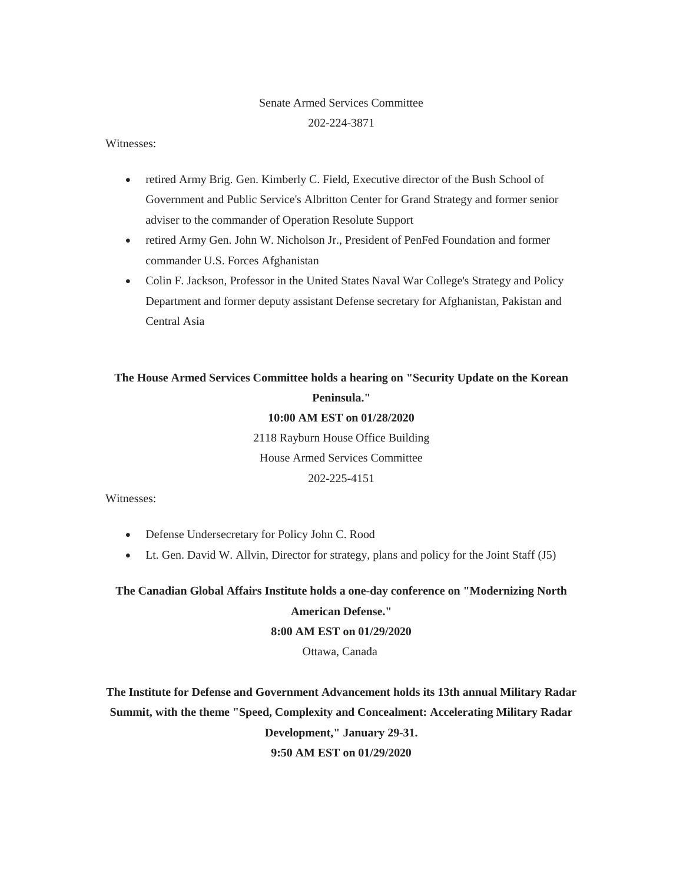# Senate Armed Services Committee 202-224-3871

### Witnesses:

- retired Army Brig. Gen. Kimberly C. Field, Executive director of the Bush School of Government and Public Service's Albritton Center for Grand Strategy and former senior adviser to the commander of Operation Resolute Support
- retired Army Gen. John W. Nicholson Jr., President of PenFed Foundation and former commander U.S. Forces Afghanistan
- Colin F. Jackson, Professor in the United States Naval War College's Strategy and Policy Department and former deputy assistant Defense secretary for Afghanistan, Pakistan and Central Asia

# **The House Armed Services Committee holds a hearing on "Security Update on the Korean Peninsula."**

### **10:00 AM EST on 01/28/2020**

2118 Rayburn House Office Building House Armed Services Committee 202-225-4151

Witnesses:

- Defense Undersecretary for Policy John C. Rood
- Lt. Gen. David W. Allvin, Director for strategy, plans and policy for the Joint Staff (J5)

**The Canadian Global Affairs Institute holds a one-day conference on "Modernizing North American Defense."**

# **8:00 AM EST on 01/29/2020**

Ottawa, Canada

**The Institute for Defense and Government Advancement holds its 13th annual Military Radar Summit, with the theme "Speed, Complexity and Concealment: Accelerating Military Radar Development," January 29-31. 9:50 AM EST on 01/29/2020**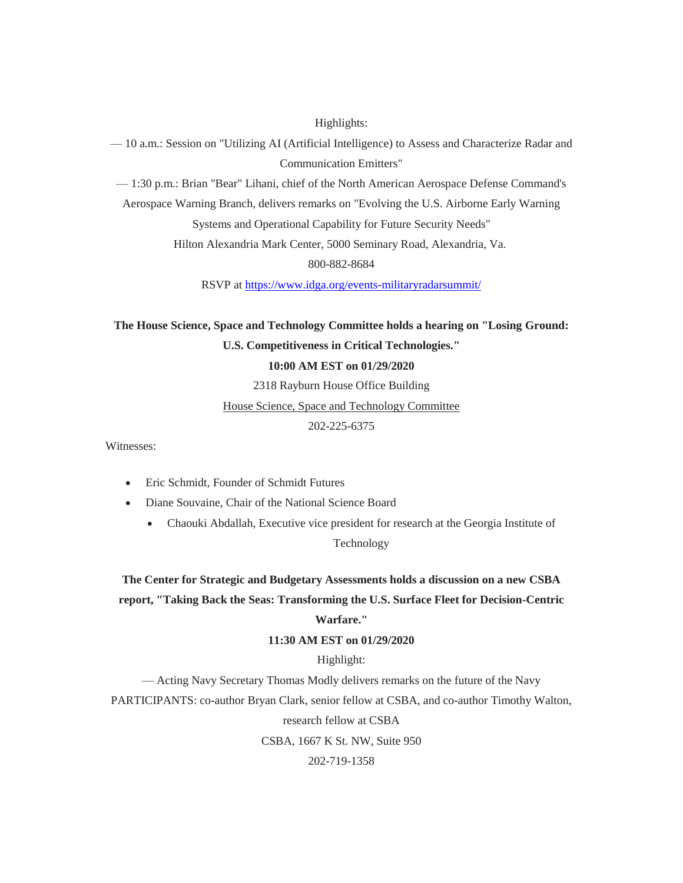### Highlights:

— 10 a.m.: Session on "Utilizing AI (Artificial Intelligence) to Assess and Characterize Radar and Communication Emitters"

— 1:30 p.m.: Brian "Bear" Lihani, chief of the North American Aerospace Defense Command's

Aerospace Warning Branch, delivers remarks on "Evolving the U.S. Airborne Early Warning

Systems and Operational Capability for Future Security Needs"

Hilton Alexandria Mark Center, 5000 Seminary Road, Alexandria, Va.

800-882-8684

RSVP at [https://www.idga.org/events-militaryradarsummit/](https://linkprotect.cudasvc.com/url?a=https%3a%2f%2fwww.idga.org%2fevents-militaryradarsummit%2f&c=E,1,9cXIp5_3WkgoHF0Jp7T8IbZUcBv0wU1r5v7RRk6SDx5OFBbDVXcSz-c4hORujwQxEnYemBnvJ5ilkOAF-1cXnmGvgRdx9DYndRdGuuWsxuoYBDGD72kC&typo=1)

**The House Science, Space and Technology Committee holds a hearing on "Losing Ground: U.S. Competitiveness in Critical Technologies." 10:00 AM EST on 01/29/2020**

2318 Rayburn House Office Building

House Science, Space and Technology Committee

202-225-6375

Witnesses:

- Eric Schmidt, Founder of Schmidt Futures
- Diane Souvaine, Chair of the National Science Board
	- Chaouki Abdallah, Executive vice president for research at the Georgia Institute of

Technology

**The Center for Strategic and Budgetary Assessments holds a discussion on a new CSBA report, "Taking Back the Seas: Transforming the U.S. Surface Fleet for Decision-Centric** 

# **Warfare."**

## **11:30 AM EST on 01/29/2020**

# Highlight:

— Acting Navy Secretary Thomas Modly delivers remarks on the future of the Navy

PARTICIPANTS: co-author Bryan Clark, senior fellow at CSBA, and co-author Timothy Walton,

research fellow at CSBA

CSBA, 1667 K St. NW, Suite 950

202-719-1358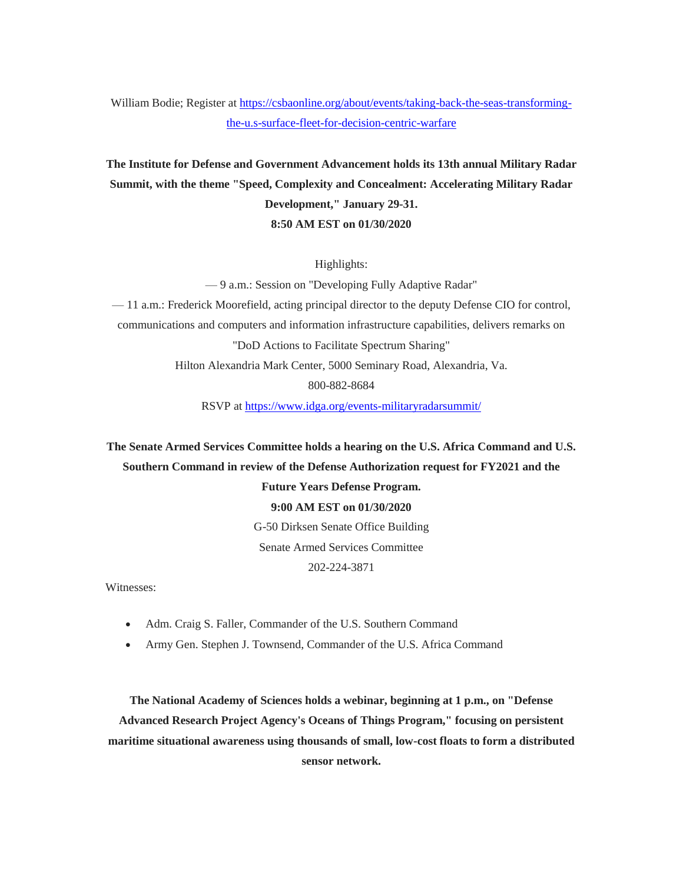William Bodie; Register at [https://csbaonline.org/about/events/taking-back-the-seas-transforming](https://linkprotect.cudasvc.com/url?a=https%3a%2f%2fcsbaonline.org%2fabout%2fevents%2ftaking-back-the-seas-transforming-the-u.s-surface-fleet-for-decision-centric-warfare&c=E,1,taw1RyIbWs3YKaTdRYA4PxaJExBSyrFNRDgAiEB2ozjn0mxbMA6MQlH5OsLjMgVSp5MqJmDm6b8SyiGpm4gD-qhb9XIKZLgpJUhlx-Y3zmpIBmRJaQ,,&typo=1)[the-u.s-surface-fleet-for-decision-centric-warfare](https://linkprotect.cudasvc.com/url?a=https%3a%2f%2fcsbaonline.org%2fabout%2fevents%2ftaking-back-the-seas-transforming-the-u.s-surface-fleet-for-decision-centric-warfare&c=E,1,taw1RyIbWs3YKaTdRYA4PxaJExBSyrFNRDgAiEB2ozjn0mxbMA6MQlH5OsLjMgVSp5MqJmDm6b8SyiGpm4gD-qhb9XIKZLgpJUhlx-Y3zmpIBmRJaQ,,&typo=1)

**The Institute for Defense and Government Advancement holds its 13th annual Military Radar Summit, with the theme "Speed, Complexity and Concealment: Accelerating Military Radar Development," January 29-31. 8:50 AM EST on 01/30/2020**

Highlights:

— 9 a.m.: Session on "Developing Fully Adaptive Radar"

— 11 a.m.: Frederick Moorefield, acting principal director to the deputy Defense CIO for control, communications and computers and information infrastructure capabilities, delivers remarks on "DoD Actions to Facilitate Spectrum Sharing" Hilton Alexandria Mark Center, 5000 Seminary Road, Alexandria, Va.

800-882-8684

RSVP at [https://www.idga.org/events-militaryradarsummit/](https://linkprotect.cudasvc.com/url?a=https%3a%2f%2fwww.idga.org%2fevents-militaryradarsummit%2f&c=E,1,pduBHIeYETL45ACHKLHOmxvTzSQwzxgGScEp9rRN0b9ycbaUinjrAzX2eu5mi8so5vCOzvJHcCTUinYgotyo7h_88h-qOjaHBHo87osL8r_e-AU,&typo=1)

**The Senate Armed Services Committee holds a hearing on the U.S. Africa Command and U.S. Southern Command in review of the Defense Authorization request for FY2021 and the Future Years Defense Program. 9:00 AM EST on 01/30/2020** G-50 Dirksen Senate Office Building

Senate Armed Services Committee

202-224-3871

Witnesses:

- Adm. Craig S. Faller, Commander of the U.S. Southern Command
- Army Gen. Stephen J. Townsend, Commander of the U.S. Africa Command

**The National Academy of Sciences holds a webinar, beginning at 1 p.m., on "Defense Advanced Research Project Agency's Oceans of Things Program," focusing on persistent maritime situational awareness using thousands of small, low-cost floats to form a distributed sensor network.**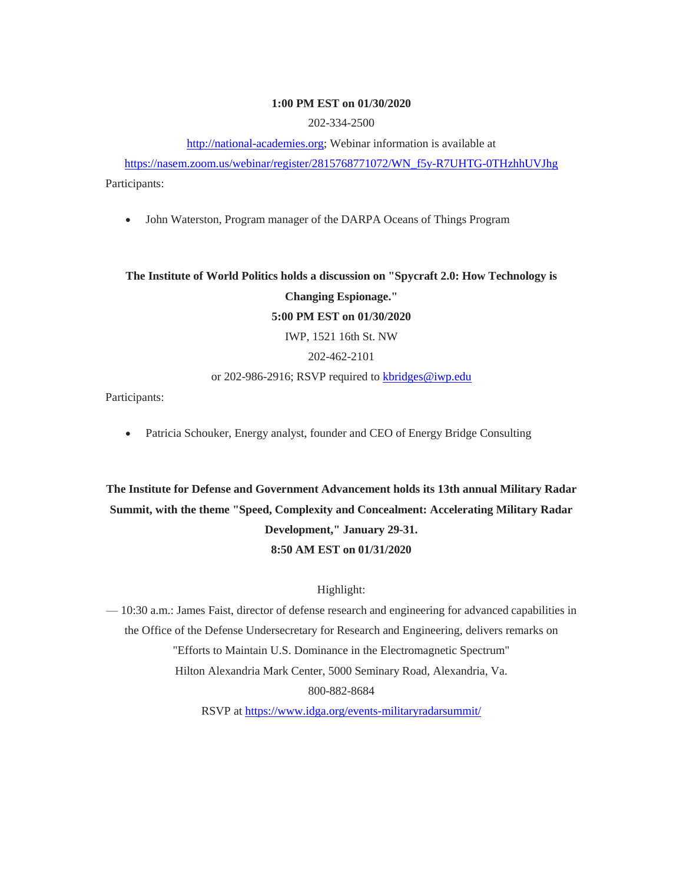### **1:00 PM EST on 01/30/2020**

202-334-2500

[http://national-academies.org;](https://linkprotect.cudasvc.com/url?a=http%3a%2f%2fnational-academies.org&c=E,1,wCC9ykoyL7rDekKGw9hbvsSYqxmQJkecYUX5Aa3YeTxxhpPhQURaYZh5QBlPnGiz_RMVftx_iDTnRLKeVQmOk14B93WD7Cg-5zHYF1NfE7CUNeZ0GKeA&typo=1) Webinar information is available at

[https://nasem.zoom.us/webinar/register/2815768771072/WN\\_f5y-R7UHTG-0THzhhUVJhg](https://nasem.zoom.us/webinar/register/2815768771072/WN_f5y-R7UHTG-0THzhhUVJhg) Participants:

• John Waterston, Program manager of the DARPA Oceans of Things Program

**The Institute of World Politics holds a discussion on "Spycraft 2.0: How Technology is Changing Espionage." 5:00 PM EST on 01/30/2020** IWP, 1521 16th St. NW 202-462-2101 or 202-986-2916; RSVP required to [kbridges@iwp.edu](mailto:kbridges@iwp.edu)

Participants:

Patricia Schouker, Energy analyst, founder and CEO of Energy Bridge Consulting

**The Institute for Defense and Government Advancement holds its 13th annual Military Radar Summit, with the theme "Speed, Complexity and Concealment: Accelerating Military Radar Development," January 29-31. 8:50 AM EST on 01/31/2020**

## Highlight:

— 10:30 a.m.: James Faist, director of defense research and engineering for advanced capabilities in the Office of the Defense Undersecretary for Research and Engineering, delivers remarks on "Efforts to Maintain U.S. Dominance in the Electromagnetic Spectrum" Hilton Alexandria Mark Center, 5000 Seminary Road, Alexandria, Va. 800-882-8684

RSVP at [https://www.idga.org/events-militaryradarsummit/](https://linkprotect.cudasvc.com/url?a=https%3a%2f%2fwww.idga.org%2fevents-militaryradarsummit%2f&c=E,1,yknpBINpccKjZYs9AJoibSZ4kC3xIs5ozVaxG8aQzu6IcqE-pxsdU9ixH2b9dkoCHoxLb9mZx9mxEe6qyQLxOrchAcGxs2gXvX3Ct8q1TLe8jw,,&typo=1)